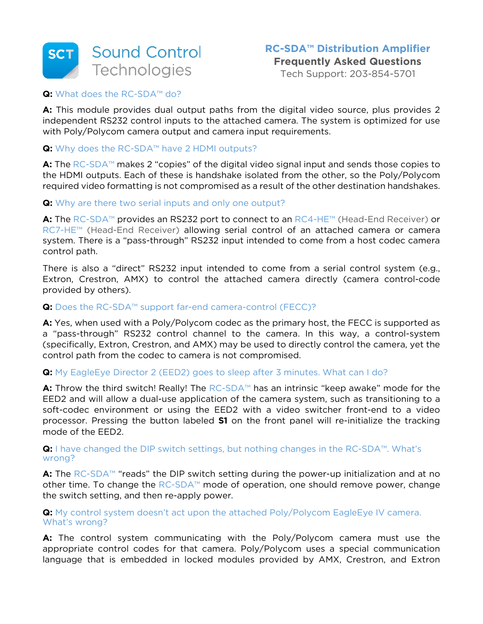

Tech Support: 203-854-5701

## **Q:** What does the RC-SDA™ do?

**A:** This module provides dual output paths from the digital video source, plus provides 2 independent RS232 control inputs to the attached camera. The system is optimized for use with Poly/Polycom camera output and camera input requirements.

## **Q:** Why does the RC-SDA™ have 2 HDMI outputs?

**A:** The RC-SDA™ makes 2 "copies" of the digital video signal input and sends those copies to the HDMI outputs. Each of these is handshake isolated from the other, so the Poly/Polycom required video formatting is not compromised as a result of the other destination handshakes.

### **Q:** Why are there two serial inputs and only one output?

**A:** The RC-SDA™ provides an RS232 port to connect to an RC4-HE™ (Head-End Receiver) or RC7-HE™ (Head-End Receiver) allowing serial control of an attached camera or camera system. There is a "pass-through" RS232 input intended to come from a host codec camera control path.

There is also a "direct" RS232 input intended to come from a serial control system (e.g., Extron, Crestron, AMX) to control the attached camera directly (camera control-code provided by others).

## **Q:** Does the RC-SDA<sup>™</sup> support far-end camera-control (FECC)?

**A:** Yes, when used with a Poly/Polycom codec as the primary host, the FECC is supported as a "pass-through" RS232 control channel to the camera. In this way, a control-system (specifically, Extron, Crestron, and AMX) may be used to directly control the camera, yet the control path from the codec to camera is not compromised.

#### **Q:** My EagleEye Director 2 (EED2) goes to sleep after 3 minutes. What can I do?

**A:** Throw the third switch! Really! The RC-SDA™ has an intrinsic "keep awake" mode for the EED2 and will allow a dual-use application of the camera system, such as transitioning to a soft-codec environment or using the EED2 with a video switcher front-end to a video processor. Pressing the button labeled **S1** on the front panel will re-initialize the tracking mode of the EED2.

#### **Q:** I have changed the DIP switch settings, but nothing changes in the RC-SDA™. What's wrong?

**A:** The RC-SDA™ "reads" the DIP switch setting during the power-up initialization and at no other time. To change the RC-SDA™ mode of operation, one should remove power, change the switch setting, and then re-apply power.

#### **Q:** My control system doesn't act upon the attached Poly/Polycom EagleEye IV camera. What's wrong?

**A:** The control system communicating with the Poly/Polycom camera must use the appropriate control codes for that camera. Poly/Polycom uses a special communication language that is embedded in locked modules provided by AMX, Crestron, and Extron